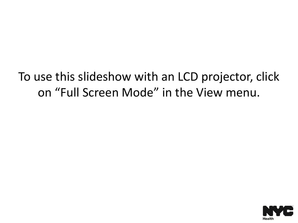To use this slideshow with an LCD projector, click on "Full Screen Mode" in the View menu.

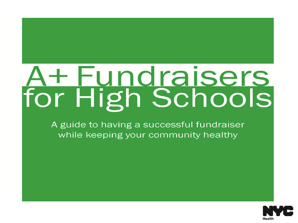# + Fundraisers for High Schools

A guide to having a successful fundraiser while keeping your community healthy

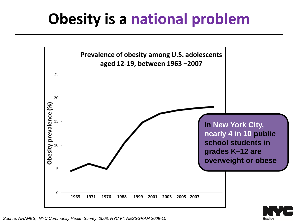## **Obesity is a national problem**



**Health**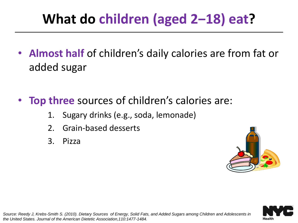#### **What do children (aged 2‒18) eat?**

- **Almost half** of children's daily calories are from fat or added sugar
- **Top three** sources of children's calories are:
	- 1. Sugary drinks (e.g., soda, lemonade)
	- 2. Grain-based desserts
	- 3. Pizza



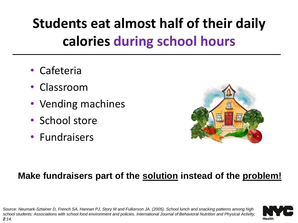### **Students eat almost half of their daily calories during school hours**

- Cafeteria
- Classroom
- Vending machines
- School store
- Fundraisers



#### **Make fundraisers part of the solution instead of the problem!**

Source: *Neumark-Sztainer D, French SA, Hannan PJ, Story M and Fulkerson JA. (2005). School lunch and snacking patterns among high school students: Associations with school food environment and policies. International Journal of Behavioral Nutrition and Physical Activity; 2:14.*

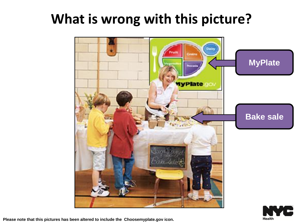#### **What is wrong with this picture?**



**Please note that this pictures has been altered to include the Choosemyplate.gov icon.**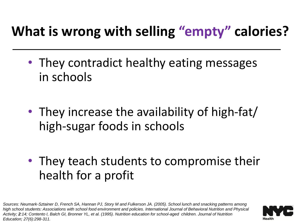#### **What is wrong with selling "empty" calories?**

- They contradict healthy eating messages in schools
- They increase the availability of high-fat/ high-sugar foods in schools
- They teach students to compromise their health for a profit

*Sources: Neumark-Sztainer D, French SA, Hannan PJ, Story M and Fulkerson JA. (2005). School lunch and snacking patterns among high school students: Associations with school food environment and policies. International Journal of Behavioral Nutrition and Physical Activity; 2:14; Contento I, Balch GI, Bronner YL, et al. (1995). Nutrition education for school-aged children. Journal of Nutrition Education; 27(6):298-311.*

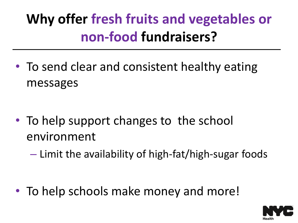### **Why offer fresh fruits and vegetables or non-food fundraisers?**

• To send clear and consistent healthy eating messages

- To help support changes to the school environment
	- Limit the availability of high-fat/high-sugar foods

• To help schools make money and more!

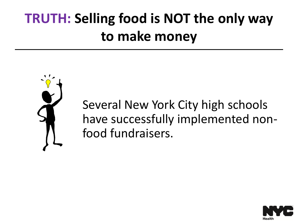### **TRUTH: Selling food is NOT the only way to make money**



Several New York City high schools have successfully implemented nonfood fundraisers.

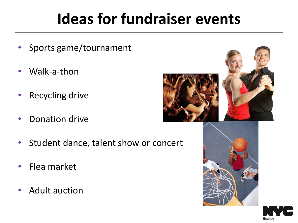# **Ideas for fundraiser events**

- Sports game/tournament
- Walk-a-thon
- Recycling drive
- Donation drive
- Student dance, talent show or concert
- Flea market
- Adult auction





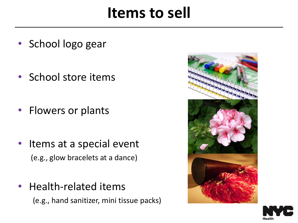#### **Items to sell**

- School logo gear
- School store items
- Flowers or plants
- Items at a special event (e.g., glow bracelets at a dance)
- Health-related items (e.g., hand sanitizer, mini tissue packs)



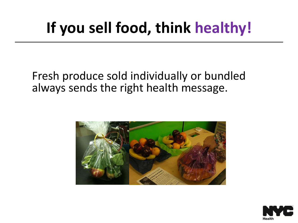# **If you sell food, think healthy!**

#### Fresh produce sold individually or bundled always sends the right health message.



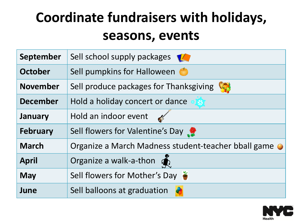### **Coordinate fundraisers with holidays, seasons, events**

| <b>September</b> | Sell school supply packages                         |
|------------------|-----------------------------------------------------|
| <b>October</b>   | Sell pumpkins for Halloween                         |
| <b>November</b>  | Sell produce packages for Thanksgiving              |
| <b>December</b>  | Hold a holiday concert or dance                     |
| January          | Hold an indoor event                                |
| <b>February</b>  | Sell flowers for Valentine's Day                    |
| <b>March</b>     | Organize a March Madness student-teacher bball game |
| <b>April</b>     | Organize a walk-a-thon $\sum_{k=1}^{\infty}$        |
| <b>May</b>       | Sell flowers for Mother's Day                       |
| June             | Sell balloons at graduation                         |

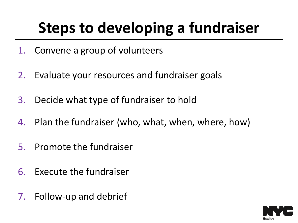# **Steps to developing a fundraiser**

- 1. Convene a group of volunteers
- 2. Evaluate your resources and fundraiser goals
- 3. Decide what type of fundraiser to hold
- 4. Plan the fundraiser (who, what, when, where, how)
- 5. Promote the fundraiser
- 6. Execute the fundraiser
- 7. Follow-up and debrief

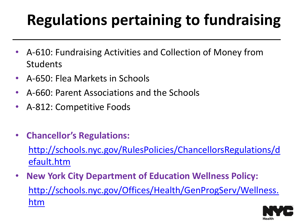# **Regulations pertaining to fundraising**

- A-610: Fundraising Activities and Collection of Money from Students
- A-650: Flea Markets in Schools
- A-660: Parent Associations and the Schools
- A-812: Competitive Foods
- **Chancellor's Regulations:**

[http://schools.nyc.gov/RulesPolicies/ChancellorsRegulations/d](http://schools.nyc.gov/RulesPolicies/ChancellorsRegulations/default.htm) [efault.htm](http://schools.nyc.gov/RulesPolicies/ChancellorsRegulations/default.htm)

• **New York City Department of Education Wellness Policy:** [http://schools.nyc.gov/Offices/Health/GenProgServ/Wellness.](http://schools.nyc.gov/Offices/Health/GenProgServ/Wellness.htm) [htm](http://schools.nyc.gov/Offices/Health/GenProgServ/Wellness.htm)

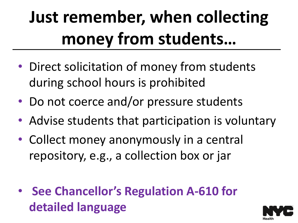# **Just remember, when collecting money from students…**

- Direct solicitation of money from students during school hours is prohibited
- Do not coerce and/or pressure students
- Advise students that participation is voluntary
- Collect money anonymously in a central repository, e.g., a collection box or jar
- **See Chancellor's Regulation A-610 for detailed language**